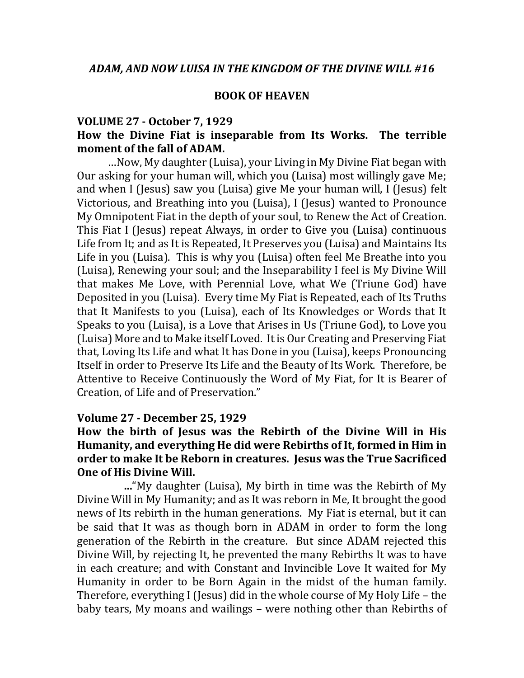### **BOOK OF HEAVEN**

### **VOLUME 27 - October 7, 1929 How the Divine Fiat is inseparable from Its Works. The terrible moment of the fall of ADAM.**

…Now, My daughter (Luisa), your Living in My Divine Fiat began with Our asking for your human will, which you (Luisa) most willingly gave Me; and when I (Jesus) saw you (Luisa) give Me your human will, I (Jesus) felt Victorious, and Breathing into you (Luisa), I (Jesus) wanted to Pronounce My Omnipotent Fiat in the depth of your soul, to Renew the Act of Creation. This Fiat I (Jesus) repeat Always, in order to Give you (Luisa) continuous Life from It; and as It is Repeated, It Preserves you (Luisa) and Maintains Its Life in you (Luisa). This is why you (Luisa) often feel Me Breathe into you (Luisa), Renewing your soul; and the Inseparability I feel is My Divine Will that makes Me Love, with Perennial Love, what We (Triune God) have Deposited in you (Luisa). Every time My Fiat is Repeated, each of Its Truths that It Manifests to you (Luisa), each of Its Knowledges or Words that It Speaks to you (Luisa), is a Love that Arises in Us (Triune God), to Love you (Luisa) More and to Make itself Loved. It is Our Creating and Preserving Fiat that, Loving Its Life and what It has Done in you (Luisa), keeps Pronouncing Itself in order to Preserve Its Life and the Beauty of Its Work. Therefore, be Attentive to Receive Continuously the Word of My Fiat, for It is Bearer of Creation, of Life and of Preservation."

#### **Volume 27 - December 25, 1929**

# **How the birth of Jesus was the Rebirth of the Divine Will in His Humanity, and everything He did were Rebirths of It, formed in Him in order to make It be Reborn in creatures. Jesus was the True Sacrificed One of His Divine Will.**

 **…**"My daughter (Luisa), My birth in time was the Rebirth of My Divine Will in My Humanity; and as It was reborn in Me, It brought the good news of Its rebirth in the human generations. My Fiat is eternal, but it can be said that It was as though born in ADAM in order to form the long generation of the Rebirth in the creature. But since ADAM rejected this Divine Will, by rejecting It, he prevented the many Rebirths It was to have in each creature; and with Constant and Invincible Love It waited for My Humanity in order to be Born Again in the midst of the human family. Therefore, everything I (Jesus) did in the whole course of My Holy Life – the baby tears, My moans and wailings – were nothing other than Rebirths of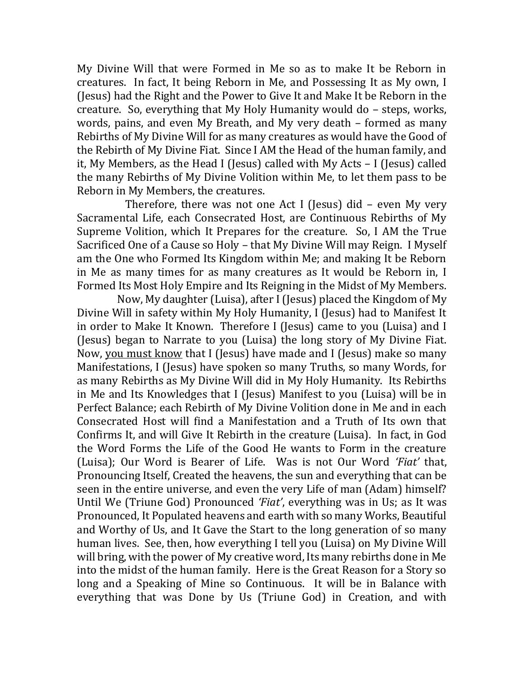My Divine Will that were Formed in Me so as to make It be Reborn in creatures.In fact, It being Reborn in Me, and Possessing It as My own, I (Jesus) had the Right and the Power to Give It and Make It be Reborn in the creature. So, everything that My Holy Humanity would do – steps, works, words, pains, and even My Breath, and My very death – formed as many Rebirths of My Divine Will for as many creatures as would have the Good of the Rebirth of My Divine Fiat. Since I AM the Head of the human family, and it, My Members, as the Head I (Jesus) called with My Acts – I (Jesus) called the many Rebirths of My Divine Volition within Me, to let them pass to be Reborn in My Members, the creatures.

 Therefore, there was not one Act I (Jesus) did – even My very Sacramental Life, each Consecrated Host, are Continuous Rebirths of My Supreme Volition, which It Prepares for the creature. So, I AM the True Sacrificed One of a Cause so Holy – that My Divine Will may Reign. I Myself am the One who Formed Its Kingdom within Me; and making It be Reborn in Me as many times for as many creatures as It would be Reborn in, I Formed Its Most Holy Empire and Its Reigning in the Midst of My Members.

 Now, My daughter (Luisa), after I (Jesus) placed the Kingdom of My Divine Will in safety within My Holy Humanity, I (Jesus) had to Manifest It in order to Make It Known. Therefore I (Jesus) came to you (Luisa) and I (Jesus) began to Narrate to you (Luisa) the long story of My Divine Fiat. Now, you must know that I (Jesus) have made and I (Jesus) make so many Manifestations, I (Jesus) have spoken so many Truths, so many Words, for as many Rebirths as My Divine Will did in My Holy Humanity. Its Rebirths in Me and Its Knowledges that I (Jesus) Manifest to you (Luisa) will be in Perfect Balance; each Rebirth of My Divine Volition done in Me and in each Consecrated Host will find a Manifestation and a Truth of Its own that Confirms It, and will Give It Rebirth in the creature (Luisa). In fact, in God the Word Forms the Life of the Good He wants to Form in the creature (Luisa); Our Word is Bearer of Life. Was is not Our Word *'Fiat'* that, Pronouncing Itself, Created the heavens, the sun and everything that can be seen in the entire universe, and even the very Life of man (Adam) himself? Until We (Triune God) Pronounced *'Fiat'*, everything was in Us; as It was Pronounced, It Populated heavens and earth with so many Works, Beautiful and Worthy of Us, and It Gave the Start to the long generation of so many human lives. See, then, how everything I tell you (Luisa) on My Divine Will will bring, with the power of My creative word, Its many rebirths done in Me into the midst of the human family. Here is the Great Reason for a Story so long and a Speaking of Mine so Continuous. It will be in Balance with everything that was Done by Us (Triune God) in Creation, and with